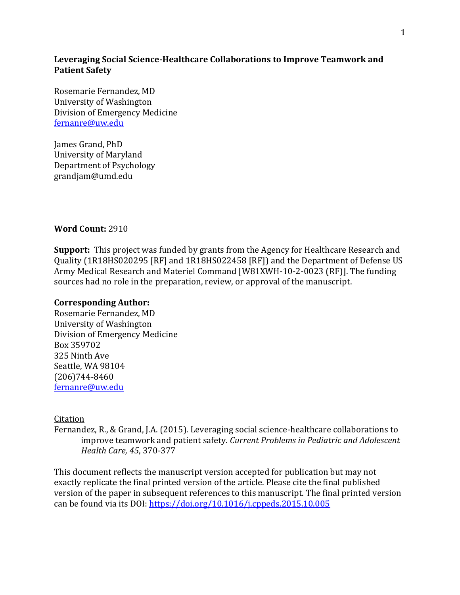## **Leveraging Social Science-Healthcare Collaborations to Improve Teamwork and Patient Safety**

Rosemarie Fernandez, MD University of Washington Division of Emergency Medicine [fernanre@uw.edu](mailto:fernanre@uw.edu)

James Grand, PhD University of Maryland Department of Psychology grandjam@umd.edu

## **Word Count:** 2910

**Support:** This project was funded by grants from the Agency for Healthcare Research and Quality (1R18HS020295 [RF] and 1R18HS022458 [RF]) and the Department of Defense US Army Medical Research and Materiel Command [W81XWH-10-2-0023 (RF)]. The funding sources had no role in the preparation, review, or approval of the manuscript.

#### **Corresponding Author:**

Rosemarie Fernandez, MD University of Washington Division of Emergency Medicine Box 359702 325 Ninth Ave Seattle, WA 98104 (206)744-8460 [fernanre@uw.edu](mailto:fernanre@uw.edu)

#### Citation

Fernandez, R., & Grand, J.A. (2015). Leveraging social science-healthcare collaborations to improve teamwork and patient safety. *Current Problems in Pediatric and Adolescent Health Care, 45*, 370-377

This document reflects the manuscript version accepted for publication but may not exactly replicate the final printed version of the article. Please cite the final published version of the paper in subsequent references to this manuscript. The final printed version can be found via its DOI[: https://doi.org/10.1016/j.cppeds.2015.10.005](https://doi.org/10.1016/j.cppeds.2015.10.005)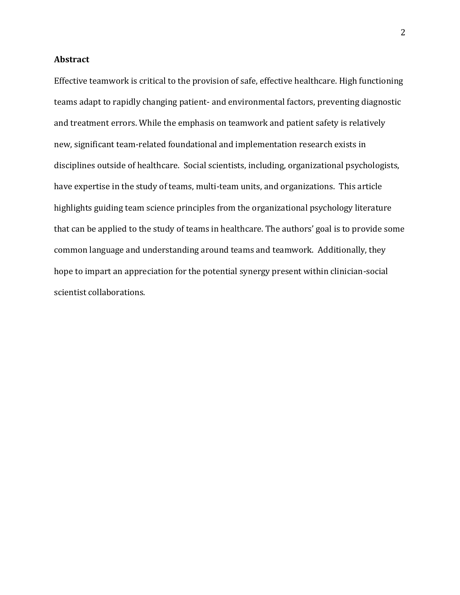## **Abstract**

Effective teamwork is critical to the provision of safe, effective healthcare. High functioning teams adapt to rapidly changing patient- and environmental factors, preventing diagnostic and treatment errors. While the emphasis on teamwork and patient safety is relatively new, significant team-related foundational and implementation research exists in disciplines outside of healthcare. Social scientists, including, organizational psychologists, have expertise in the study of teams, multi-team units, and organizations. This article highlights guiding team science principles from the organizational psychology literature that can be applied to the study of teams in healthcare. The authors' goal is to provide some common language and understanding around teams and teamwork. Additionally, they hope to impart an appreciation for the potential synergy present within clinician-social scientist collaborations.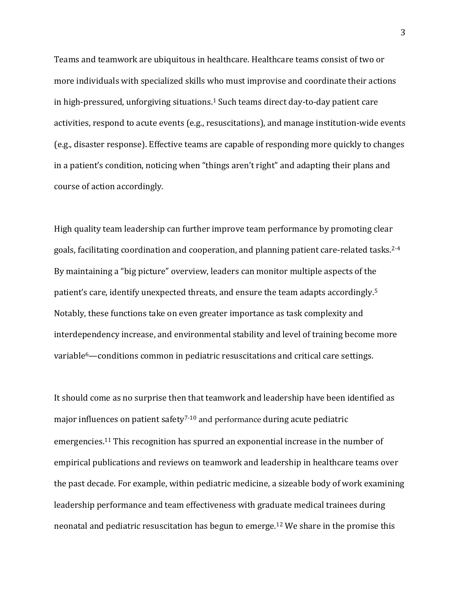Teams and teamwork are ubiquitous in healthcare. Healthcare teams consist of two or more individuals with specialized skills who must improvise and coordinate their actions in high-pressured, unforgiving situations. <sup>1</sup> Such teams direct day-to-day patient care activities, respond to acute events (e.g., resuscitations), and manage institution-wide events (e.g., disaster response). Effective teams are capable of responding more quickly to changes in a patient's condition, noticing when "things aren't right" and adapting their plans and course of action accordingly.

High quality team leadership can further improve team performance by promoting clear goals, facilitating coordination and cooperation, and planning patient care-related tasks.2-4 By maintaining a "big picture" overview, leaders can monitor multiple aspects of the patient's care, identify unexpected threats, and ensure the team adapts accordingly.<sup>5</sup> Notably, these functions take on even greater importance as task complexity and interdependency increase, and environmental stability and level of training become more variable6—conditions common in pediatric resuscitations and critical care settings.

It should come as no surprise then that teamwork and leadership have been identified as major influences on patient safety<sup>7-10</sup> and performance during acute pediatric emergencies.<sup>11</sup> This recognition has spurred an exponential increase in the number of empirical publications and reviews on teamwork and leadership in healthcare teams over the past decade. For example, within pediatric medicine, a sizeable body of work examining leadership performance and team effectiveness with graduate medical trainees during neonatal and pediatric resuscitation has begun to emerge.<sup>12</sup> We share in the promise this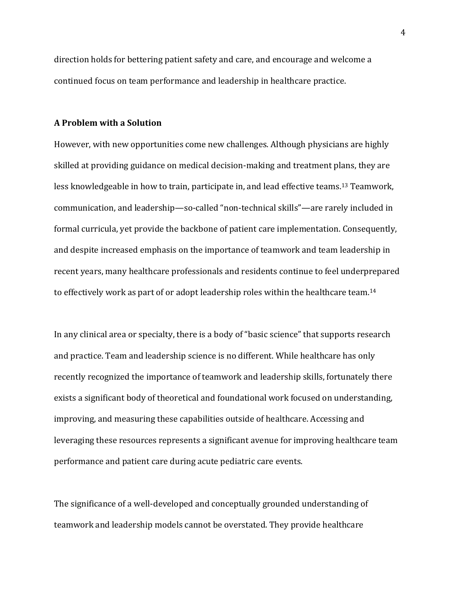direction holds for bettering patient safety and care, and encourage and welcome a continued focus on team performance and leadership in healthcare practice.

#### **A Problem with a Solution**

However, with new opportunities come new challenges. Although physicians are highly skilled at providing guidance on medical decision-making and treatment plans, they are less knowledgeable in how to train, participate in, and lead effective teams.<sup>13</sup> Teamwork, communication, and leadership—so-called "non-technical skills"—are rarely included in formal curricula, yet provide the backbone of patient care implementation. Consequently, and despite increased emphasis on the importance of teamwork and team leadership in recent years, many healthcare professionals and residents continue to feel underprepared to effectively work as part of or adopt leadership roles within the healthcare team.<sup>14</sup>

In any clinical area or specialty, there is a body of "basic science" that supports research and practice. Team and leadership science is no different. While healthcare has only recently recognized the importance of teamwork and leadership skills, fortunately there exists a significant body of theoretical and foundational work focused on understanding, improving, and measuring these capabilities outside of healthcare. Accessing and leveraging these resources represents a significant avenue for improving healthcare team performance and patient care during acute pediatric care events.

The significance of a well-developed and conceptually grounded understanding of teamwork and leadership models cannot be overstated. They provide healthcare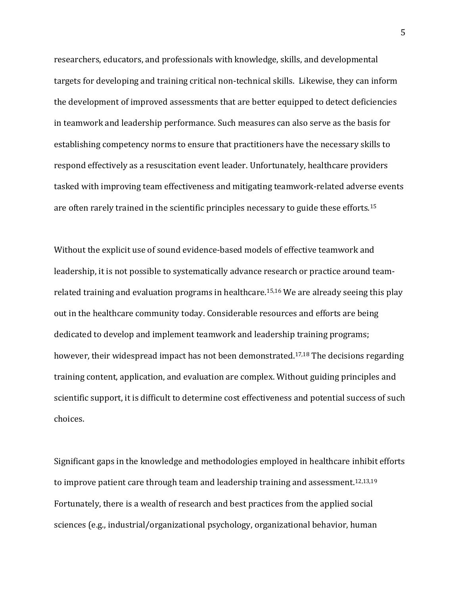researchers, educators, and professionals with knowledge, skills, and developmental targets for developing and training critical non-technical skills. Likewise, they can inform the development of improved assessments that are better equipped to detect deficiencies in teamwork and leadership performance. Such measures can also serve as the basis for establishing competency norms to ensure that practitioners have the necessary skills to respond effectively as a resuscitation event leader. Unfortunately, healthcare providers tasked with improving team effectiveness and mitigating teamwork-related adverse events are often rarely trained in the scientific principles necessary to guide these efforts.<sup>15</sup>

Without the explicit use of sound evidence-based models of effective teamwork and leadership, it is not possible to systematically advance research or practice around teamrelated training and evaluation programs in healthcare.15,16 We are already seeing this play out in the healthcare community today. Considerable resources and efforts are being dedicated to develop and implement teamwork and leadership training programs; however, their widespread impact has not been demonstrated.<sup>17,18</sup> The decisions regarding training content, application, and evaluation are complex. Without guiding principles and scientific support, it is difficult to determine cost effectiveness and potential success of such choices.

Significant gaps in the knowledge and methodologies employed in healthcare inhibit efforts to improve patient care through team and leadership training and assessment.<sup>12,13,19</sup> Fortunately, there is a wealth of research and best practices from the applied social sciences (e.g., industrial/organizational psychology, organizational behavior, human

5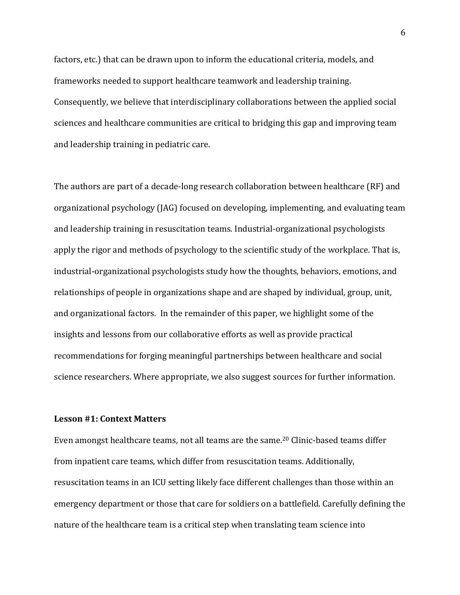factors, etc.) that can be drawn upon to inform the educational criteria, models, and frameworks needed to support healthcare teamwork and leadership training. Consequently, we believe that interdisciplinary collaborations between the applied social sciences and healthcare communities are critical to bridging this gap and improving team and leadership training in pediatric care.

The authors are part of a decade-long research collaboration between healthcare (RF) and organizational psychology (JAG) focused on developing, implementing, and evaluating team and leadership training in resuscitation teams. Industrial-organizational psychologists apply the rigor and methods of psychology to the scientific study of the workplace. That is, industrial-organizational psychologists study how the thoughts, behaviors, emotions, and relationships of people in organizations shape and are shaped by individual, group, unit, and organizational factors. In the remainder of this paper, we highlight some of the insights and lessons from our collaborative efforts as well as provide practical recommendations for forging meaningful partnerships between healthcare and social science researchers. Where appropriate, we also suggest sources for further information.

#### **Lesson #1: Context Matters**

Even amongst healthcare teams, not all teams are the same.<sup>20</sup> Clinic-based teams differ from inpatient care teams, which differ from resuscitation teams. Additionally, resuscitation teams in an ICU setting likely face different challenges than those within an emergency department or those that care for soldiers on a battlefield. Carefully defining the nature of the healthcare team is a critical step when translating team science into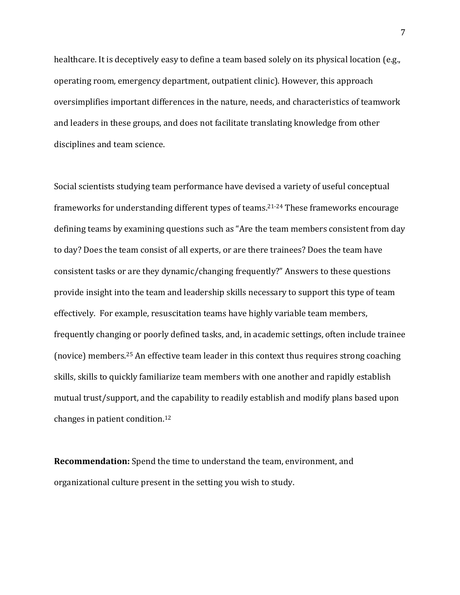healthcare. It is deceptively easy to define a team based solely on its physical location (e.g., operating room, emergency department, outpatient clinic). However, this approach oversimplifies important differences in the nature, needs, and characteristics of teamwork and leaders in these groups, and does not facilitate translating knowledge from other disciplines and team science.

Social scientists studying team performance have devised a variety of useful conceptual frameworks for understanding different types of teams. 21-24 These frameworks encourage defining teams by examining questions such as "Are the team members consistent from day to day? Does the team consist of all experts, or are there trainees? Does the team have consistent tasks or are they dynamic/changing frequently?" Answers to these questions provide insight into the team and leadership skills necessary to support this type of team effectively. For example, resuscitation teams have highly variable team members, frequently changing or poorly defined tasks, and, in academic settings, often include trainee (novice) members.<sup>25</sup> An effective team leader in this context thus requires strong coaching skills, skills to quickly familiarize team members with one another and rapidly establish mutual trust/support, and the capability to readily establish and modify plans based upon changes in patient condition.<sup>12</sup>

**Recommendation:** Spend the time to understand the team, environment, and organizational culture present in the setting you wish to study.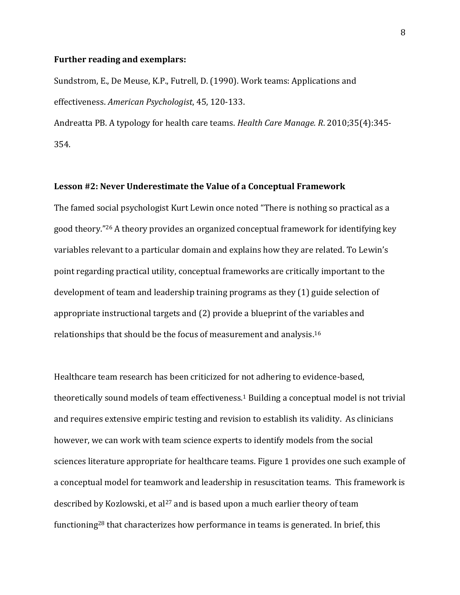#### **Further reading and exemplars:**

Sundstrom, E., De Meuse, K.P., Futrell, D. (1990). Work teams: Applications and effectiveness. *American Psychologist*, 45, 120-133.

Andreatta PB. A typology for health care teams. *Health Care Manage. R*. 2010;35(4):345- 354.

#### **Lesson #2: Never Underestimate the Value of a Conceptual Framework**

The famed social psychologist Kurt Lewin once noted "There is nothing so practical as a good theory." <sup>26</sup> A theory provides an organized conceptual framework for identifying key variables relevant to a particular domain and explains how they are related. To Lewin's point regarding practical utility, conceptual frameworks are critically important to the development of team and leadership training programs as they (1) guide selection of appropriate instructional targets and (2) provide a blueprint of the variables and relationships that should be the focus of measurement and analysis. 16

Healthcare team research has been criticized for not adhering to evidence-based, theoretically sound models of team effectiveness.<sup>1</sup> Building a conceptual model is not trivial and requires extensive empiric testing and revision to establish its validity. As clinicians however, we can work with team science experts to identify models from the social sciences literature appropriate for healthcare teams. Figure 1 provides one such example of a conceptual model for teamwork and leadership in resuscitation teams. This framework is described by Kozlowski, et al<sup>27</sup> and is based upon a much earlier theory of team functioning<sup>28</sup> that characterizes how performance in teams is generated. In brief, this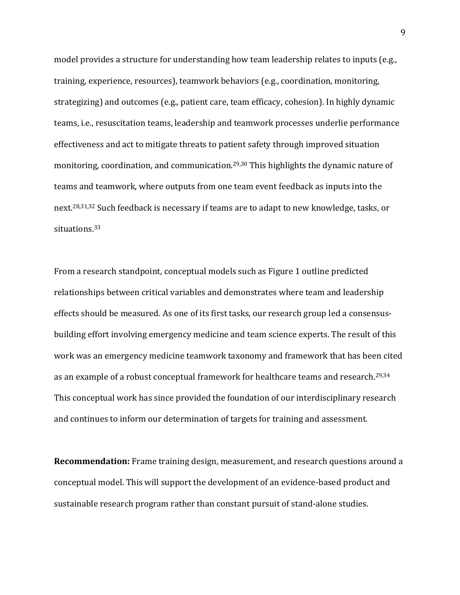model provides a structure for understanding how team leadership relates to inputs (e.g., training, experience, resources), teamwork behaviors (e.g., coordination, monitoring, strategizing) and outcomes (e.g., patient care, team efficacy, cohesion). In highly dynamic teams, i.e., resuscitation teams, leadership and teamwork processes underlie performance effectiveness and act to mitigate threats to patient safety through improved situation monitoring, coordination, and communication.29,30 This highlights the dynamic nature of teams and teamwork, where outputs from one team event feedback as inputs into the next.28,31,32 Such feedback is necessary if teams are to adapt to new knowledge, tasks, or situations.<sup>33</sup>

From a research standpoint, conceptual models such as Figure 1 outline predicted relationships between critical variables and demonstrates where team and leadership effects should be measured. As one of its first tasks, our research group led a consensusbuilding effort involving emergency medicine and team science experts. The result of this work was an emergency medicine teamwork taxonomy and framework that has been cited as an example of a robust conceptual framework for healthcare teams and research. 29,34 This conceptual work has since provided the foundation of our interdisciplinary research and continues to inform our determination of targets for training and assessment.

**Recommendation:** Frame training design, measurement, and research questions around a conceptual model. This will support the development of an evidence-based product and sustainable research program rather than constant pursuit of stand-alone studies.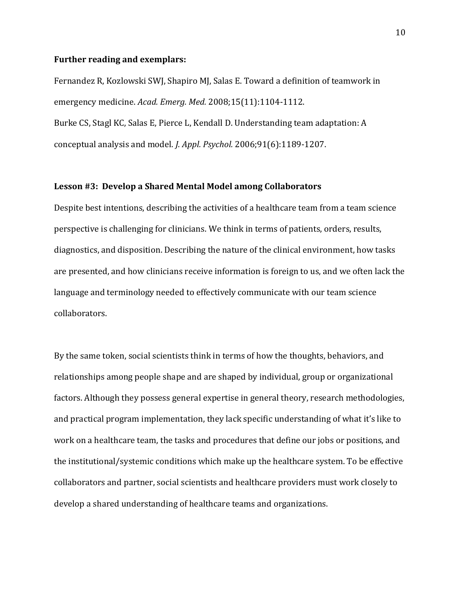#### **Further reading and exemplars:**

Fernandez R, Kozlowski SWJ, Shapiro MJ, Salas E. Toward a definition of teamwork in emergency medicine. *Acad. Emerg. Med.* 2008;15(11):1104-1112. Burke CS, Stagl KC, Salas E, Pierce L, Kendall D. Understanding team adaptation: A conceptual analysis and model. *J. Appl. Psychol.* 2006;91(6):1189-1207.

#### **Lesson #3: Develop a Shared Mental Model among Collaborators**

Despite best intentions, describing the activities of a healthcare team from a team science perspective is challenging for clinicians. We think in terms of patients, orders, results, diagnostics, and disposition. Describing the nature of the clinical environment, how tasks are presented, and how clinicians receive information is foreign to us, and we often lack the language and terminology needed to effectively communicate with our team science collaborators.

By the same token, social scientists think in terms of how the thoughts, behaviors, and relationships among people shape and are shaped by individual, group or organizational factors. Although they possess general expertise in general theory, research methodologies, and practical program implementation, they lack specific understanding of what it's like to work on a healthcare team, the tasks and procedures that define our jobs or positions, and the institutional/systemic conditions which make up the healthcare system. To be effective collaborators and partner, social scientists and healthcare providers must work closely to develop a shared understanding of healthcare teams and organizations.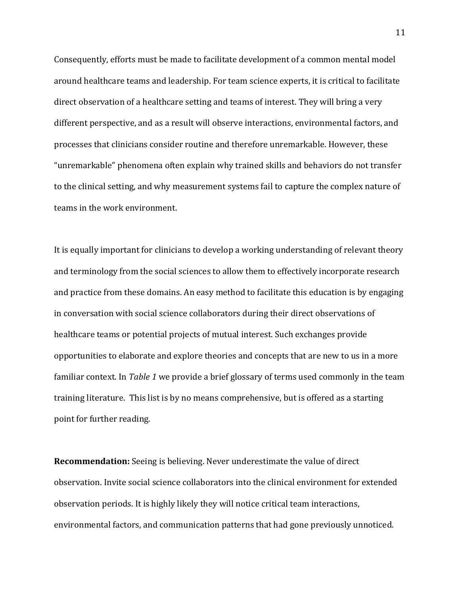Consequently, efforts must be made to facilitate development of a common mental model around healthcare teams and leadership. For team science experts, it is critical to facilitate direct observation of a healthcare setting and teams of interest. They will bring a very different perspective, and as a result will observe interactions, environmental factors, and processes that clinicians consider routine and therefore unremarkable. However, these "unremarkable" phenomena often explain why trained skills and behaviors do not transfer to the clinical setting, and why measurement systems fail to capture the complex nature of teams in the work environment.

It is equally important for clinicians to develop a working understanding of relevant theory and terminology from the social sciences to allow them to effectively incorporate research and practice from these domains. An easy method to facilitate this education is by engaging in conversation with social science collaborators during their direct observations of healthcare teams or potential projects of mutual interest. Such exchanges provide opportunities to elaborate and explore theories and concepts that are new to us in a more familiar context. In *Table 1* we provide a brief glossary of terms used commonly in the team training literature. This list is by no means comprehensive, but is offered as a starting point for further reading.

**Recommendation:** Seeing is believing. Never underestimate the value of direct observation. Invite social science collaborators into the clinical environment for extended observation periods. It is highly likely they will notice critical team interactions, environmental factors, and communication patterns that had gone previously unnoticed.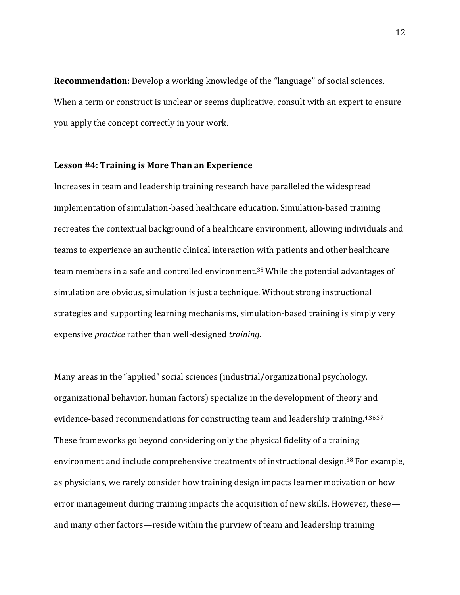**Recommendation:** Develop a working knowledge of the "language" of social sciences. When a term or construct is unclear or seems duplicative, consult with an expert to ensure you apply the concept correctly in your work.

## **Lesson #4: Training is More Than an Experience**

Increases in team and leadership training research have paralleled the widespread implementation of simulation-based healthcare education. Simulation-based training recreates the contextual background of a healthcare environment, allowing individuals and teams to experience an authentic clinical interaction with patients and other healthcare team members in a safe and controlled environment. <sup>35</sup> While the potential advantages of simulation are obvious, simulation is just a technique. Without strong instructional strategies and supporting learning mechanisms, simulation-based training is simply very expensive *practice* rather than well-designed *training*.

Many areas in the "applied" social sciences (industrial/organizational psychology, organizational behavior, human factors) specialize in the development of theory and evidence-based recommendations for constructing team and leadership training.4,36,37 These frameworks go beyond considering only the physical fidelity of a training environment and include comprehensive treatments of instructional design.<sup>38</sup> For example, as physicians, we rarely consider how training design impacts learner motivation or how error management during training impacts the acquisition of new skills. However, these and many other factors—reside within the purview of team and leadership training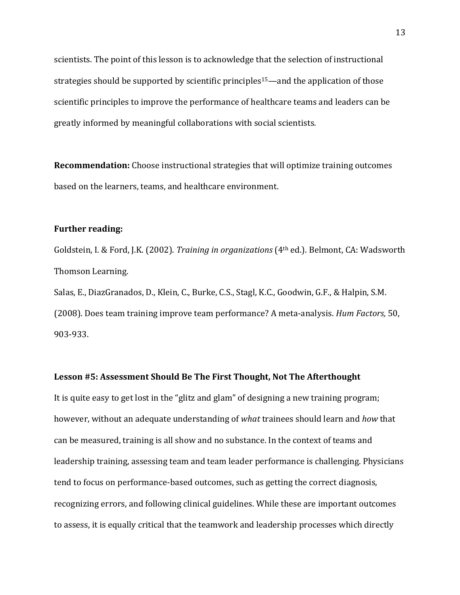scientists. The point of this lesson is to acknowledge that the selection of instructional strategies should be supported by scientific principles<sup>15</sup>—and the application of those scientific principles to improve the performance of healthcare teams and leaders can be greatly informed by meaningful collaborations with social scientists.

**Recommendation:** Choose instructional strategies that will optimize training outcomes based on the learners, teams, and healthcare environment.

#### **Further reading:**

Goldstein, I. & Ford, J.K. (2002). *Training in organizations* (4th ed.). Belmont, CA: Wadsworth Thomson Learning. Salas, E., DiazGranados, D., Klein, C., Burke, C.S., Stagl, K.C., Goodwin, G.F., & Halpin, S.M.

(2008). Does team training improve team performance? A meta-analysis. *Hum Factors,* 50, 903-933.

### **Lesson #5: Assessment Should Be The First Thought, Not The Afterthought**

It is quite easy to get lost in the "glitz and glam" of designing a new training program; however, without an adequate understanding of *what* trainees should learn and *how* that can be measured, training is all show and no substance. In the context of teams and leadership training, assessing team and team leader performance is challenging. Physicians tend to focus on performance-based outcomes, such as getting the correct diagnosis, recognizing errors, and following clinical guidelines. While these are important outcomes to assess, it is equally critical that the teamwork and leadership processes which directly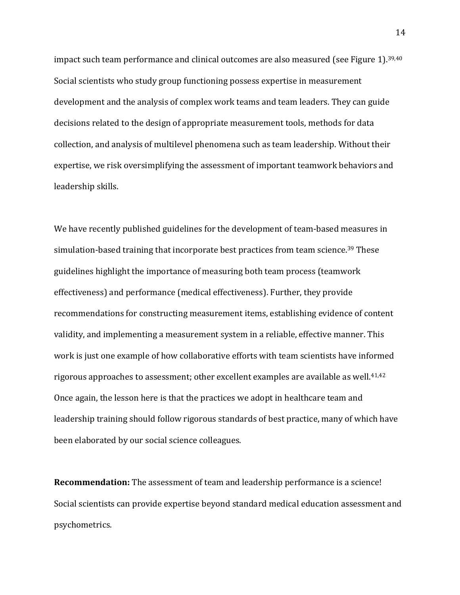impact such team performance and clinical outcomes are also measured (see Figure 1).<sup>39,40</sup> Social scientists who study group functioning possess expertise in measurement development and the analysis of complex work teams and team leaders. They can guide decisions related to the design of appropriate measurement tools, methods for data collection, and analysis of multilevel phenomena such as team leadership. Without their expertise, we risk oversimplifying the assessment of important teamwork behaviors and leadership skills.

We have recently published guidelines for the development of team-based measures in simulation-based training that incorporate best practices from team science.<sup>39</sup> These guidelines highlight the importance of measuring both team process (teamwork effectiveness) and performance (medical effectiveness). Further, they provide recommendations for constructing measurement items, establishing evidence of content validity, and implementing a measurement system in a reliable, effective manner. This work is just one example of how collaborative efforts with team scientists have informed rigorous approaches to assessment; other excellent examples are available as well.<sup>41,42</sup> Once again, the lesson here is that the practices we adopt in healthcare team and leadership training should follow rigorous standards of best practice, many of which have been elaborated by our social science colleagues.

**Recommendation:** The assessment of team and leadership performance is a science! Social scientists can provide expertise beyond standard medical education assessment and psychometrics.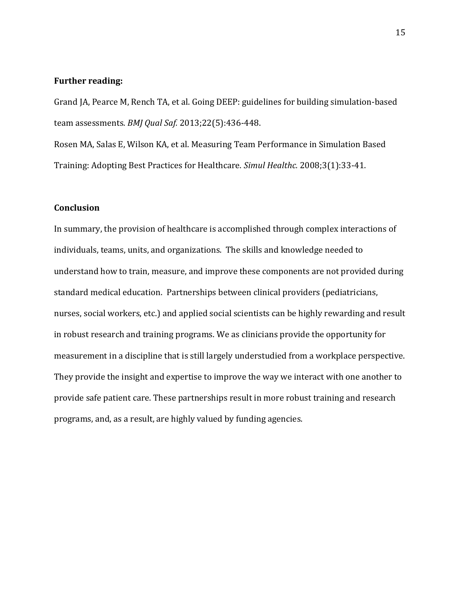#### **Further reading:**

Grand JA, Pearce M, Rench TA, et al. Going DEEP: guidelines for building simulation-based team assessments. *BMJ Qual Saf.* 2013;22(5):436-448.

Rosen MA, Salas E, Wilson KA, et al. Measuring Team Performance in Simulation Based Training: Adopting Best Practices for Healthcare. *Simul Healthc.* 2008;3(1):33-41.

## **Conclusion**

In summary, the provision of healthcare is accomplished through complex interactions of individuals, teams, units, and organizations. The skills and knowledge needed to understand how to train, measure, and improve these components are not provided during standard medical education. Partnerships between clinical providers (pediatricians, nurses, social workers, etc.) and applied social scientists can be highly rewarding and result in robust research and training programs. We as clinicians provide the opportunity for measurement in a discipline that is still largely understudied from a workplace perspective. They provide the insight and expertise to improve the way we interact with one another to provide safe patient care. These partnerships result in more robust training and research programs, and, as a result, are highly valued by funding agencies.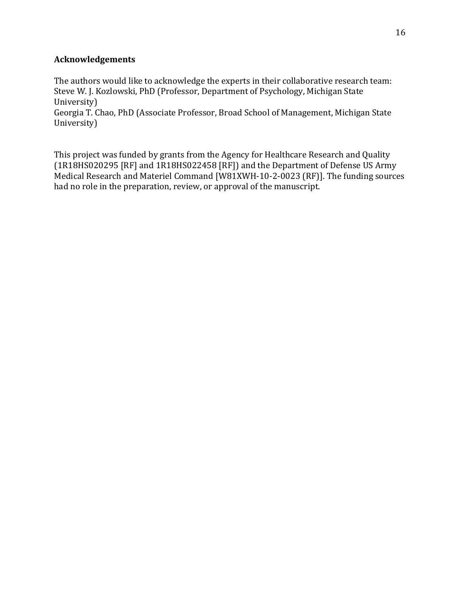# **Acknowledgements**

The authors would like to acknowledge the experts in their collaborative research team: Steve W. J. Kozlowski, PhD (Professor, Department of Psychology, Michigan State University)

Georgia T. Chao, PhD (Associate Professor, Broad School of Management, Michigan State University)

This project was funded by grants from the Agency for Healthcare Research and Quality (1R18HS020295 [RF] and 1R18HS022458 [RF]) and the Department of Defense US Army Medical Research and Materiel Command [W81XWH-10-2-0023 (RF)]. The funding sources had no role in the preparation, review, or approval of the manuscript.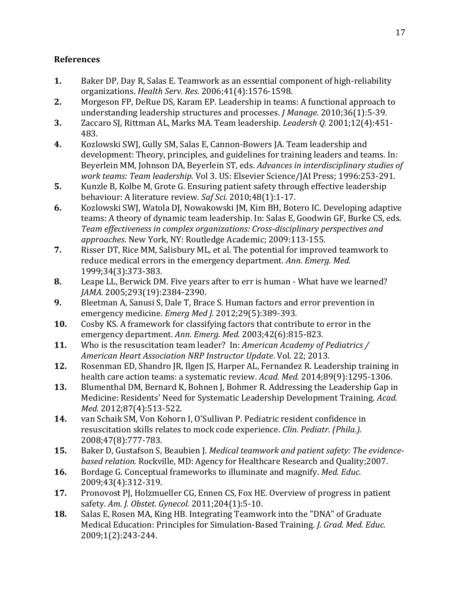# **References**

- **1.** Baker DP, Day R, Salas E. Teamwork as an essential component of high-reliability organizations. *Health Serv. Res.* 2006;41(4):1576-1598.
- **2.** Morgeson FP, DeRue DS, Karam EP. Leadership in teams: A functional approach to understanding leadership structures and processes. *J Manage.* 2010;36(1):5-39.
- **3.** Zaccaro SJ, Rittman AL, Marks MA. Team leadership. *Leadersh Q.* 2001;12(4):451- 483.
- **4.** Kozlowski SWJ, Gully SM, Salas E, Cannon-Bowers JA. Team leadership and development: Theory, principles, and guidelines for training leaders and teams. In: Beyerlein MM, Johnson DA, Beyerlein ST, eds. *Advances in interdisciplinary studies of work teams: Team leadership.* Vol 3. US: Elsevier Science/JAI Press; 1996:253-291.
- **5.** Kunzle B, Kolbe M, Grote G. Ensuring patient safety through effective leadership behaviour: A literature review. *Saf Sci.* 2010;48(1):1-17.
- **6.** Kozlowski SWJ, Watola DJ, Nowakowski JM, Kim BH, Botero IC. Developing adaptive teams: A theory of dynamic team leadership. In: Salas E, Goodwin GF, Burke CS, eds. *Team effectiveness in complex organizations: Cross-disciplinary perspectives and approaches*. New York, NY: Routledge Academic; 2009:113-155.
- **7.** Risser DT, Rice MM, Salisbury ML, et al. The potential for improved teamwork to reduce medical errors in the emergency department. *Ann. Emerg. Med.* 1999;34(3):373-383.
- **8.** Leape LL, Berwick DM. Five years after to err is human What have we learned? *JAMA.* 2005;293(19):2384-2390.
- **9.** Bleetman A, Sanusi S, Dale T, Brace S. Human factors and error prevention in emergency medicine. *Emerg Med J.* 2012;29(5):389-393.
- **10.** Cosby KS. A framework for classifying factors that contribute to error in the emergency department. *Ann. Emerg. Med.* 2003;42(6):815-823.
- **11.** Who is the resuscitation team leader? In: *American Academy of Pediatrics / American Heart Association NRP Instructor Update*. Vol. 22; 2013.
- **12.** Rosenman ED, Shandro JR, Ilgen JS, Harper AL, Fernandez R. Leadership training in health care action teams: a systematic review. *Acad. Med.* 2014;89(9):1295-1306.
- **13.** Blumenthal DM, Bernard K, Bohnen J, Bohmer R. Addressing the Leadership Gap in Medicine: Residents' Need for Systematic Leadership Development Training. *Acad. Med.* 2012;87(4):513-522.
- **14.** van Schaik SM, Von Kohorn I, O'Sullivan P. Pediatric resident confidence in resuscitation skills relates to mock code experience. *Clin. Pediatr. (Phila.).* 2008;47(8):777-783.
- **15.** Baker D, Gustafson S, Beaubien J. *Medical teamwork and patient safety: The evidencebased relation.* Rockville, MD: Agency for Healthcare Research and Quality;2007.
- **16.** Bordage G. Conceptual frameworks to illuminate and magnify. *Med. Educ.* 2009;43(4):312-319.
- **17.** Pronovost PJ, Holzmueller CG, Ennen CS, Fox HE. Overview of progress in patient safety. *Am. J. Obstet. Gynecol.* 2011;204(1):5-10.
- **18.** Salas E, Rosen MA, King HB. Integrating Teamwork into the "DNA" of Graduate Medical Education: Principles for Simulation-Based Training. *J. Grad. Med. Educ.* 2009;1(2):243-244.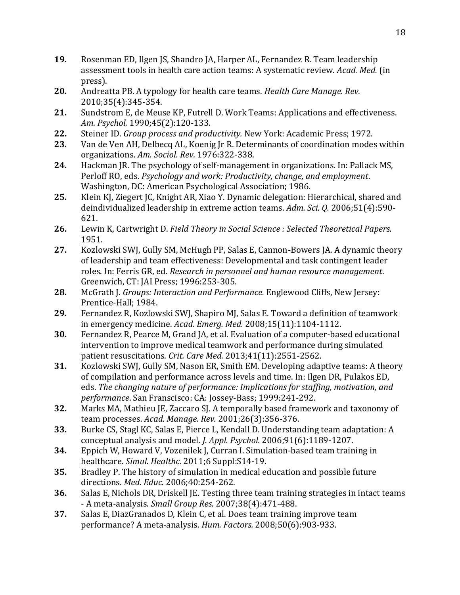- **19.** Rosenman ED, Ilgen JS, Shandro JA, Harper AL, Fernandez R. Team leadership assessment tools in health care action teams: A systematic review. *Acad. Med.* (in press).
- **20.** Andreatta PB. A typology for health care teams. *Health Care Manage. Rev.* 2010;35(4):345-354.
- **21.** Sundstrom E, de Meuse KP, Futrell D. Work Teams: Applications and effectiveness. *Am. Psychol.* 1990;45(2):120-133.
- **22.** Steiner ID. *Group process and productivity.* New York: Academic Press; 1972.
- **23.** Van de Ven AH, Delbecq AL, Koenig Jr R. Determinants of coordination modes within organizations. *Am. Sociol. Rev.* 1976:322-338.
- **24.** Hackman JR. The psychology of self-management in organizations. In: Pallack MS, Perloff RO, eds. *Psychology and work: Productivity, change, and employment*. Washington, DC: American Psychological Association; 1986.
- **25.** Klein KJ, Ziegert JC, Knight AR, Xiao Y. Dynamic delegation: Hierarchical, shared and deindividualized leadership in extreme action teams. *Adm. Sci. Q.* 2006;51(4):590- 621.
- **26.** Lewin K, Cartwright D. *Field Theory in Social Science : Selected Theoretical Papers.* 1951.
- **27.** Kozlowski SWJ, Gully SM, McHugh PP, Salas E, Cannon-Bowers JA. A dynamic theory of leadership and team effectiveness: Developmental and task contingent leader roles. In: Ferris GR, ed. *Research in personnel and human resource management*. Greenwich, CT: JAI Press; 1996:253-305.
- **28.** McGrath J. *Groups: Interaction and Performance.* Englewood Cliffs, New Jersey: Prentice-Hall; 1984.
- **29.** Fernandez R, Kozlowski SWJ, Shapiro MJ, Salas E. Toward a definition of teamwork in emergency medicine. *Acad. Emerg. Med.* 2008;15(11):1104-1112.
- **30.** Fernandez R, Pearce M, Grand JA, et al. Evaluation of a computer-based educational intervention to improve medical teamwork and performance during simulated patient resuscitations. *Crit. Care Med.* 2013;41(11):2551-2562.
- **31.** Kozlowski SWJ, Gully SM, Nason ER, Smith EM. Developing adaptive teams: A theory of compilation and performance across levels and time. In: Ilgen DR, Pulakos ED, eds. *The changing nature of performance: Implications for staffing, motivation, and performance*. San Franscisco: CA: Jossey-Bass; 1999:241-292.
- **32.** Marks MA, Mathieu JE, Zaccaro SJ. A temporally based framework and taxonomy of team processes. *Acad. Manage. Rev.* 2001;26(3):356-376.
- **33.** Burke CS, Stagl KC, Salas E, Pierce L, Kendall D. Understanding team adaptation: A conceptual analysis and model. *J. Appl. Psychol.* 2006;91(6):1189-1207.
- **34.** Eppich W, Howard V, Vozenilek J, Curran I. Simulation-based team training in healthcare. *Simul. Healthc.* 2011;6 Suppl:S14-19.
- **35.** Bradley P. The history of simulation in medical education and possible future directions. *Med. Educ.* 2006;40:254-262.
- **36.** Salas E, Nichols DR, Driskell JE. Testing three team training strategies in intact teams - A meta-analysis. *Small Group Res.* 2007;38(4):471-488.
- **37.** Salas E, DiazGranados D, Klein C, et al. Does team training improve team performance? A meta-analysis. *Hum. Factors.* 2008;50(6):903-933.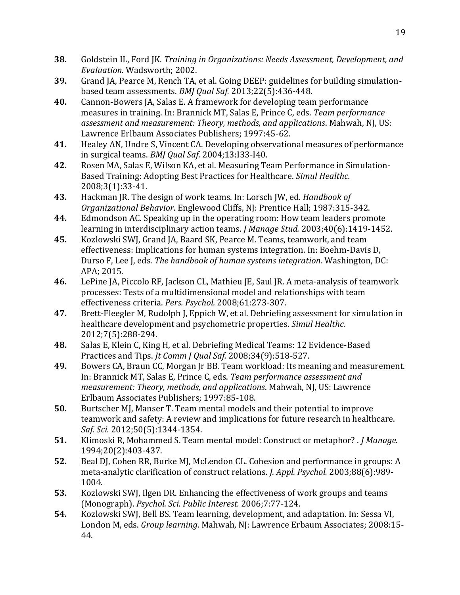- **38.** Goldstein IL, Ford JK. *Training in Organizations: Needs Assessment, Development, and Evaluation.* Wadsworth; 2002.
- **39.** Grand JA, Pearce M, Rench TA, et al. Going DEEP: guidelines for building simulationbased team assessments. *BMJ Qual Saf.* 2013;22(5):436-448.
- **40.** Cannon-Bowers JA, Salas E. A framework for developing team performance measures in training. In: Brannick MT, Salas E, Prince C, eds. *Team performance assessment and measurement: Theory, methods, and applications*. Mahwah, NJ, US: Lawrence Erlbaum Associates Publishers; 1997:45-62.
- **41.** Healey AN, Undre S, Vincent CA. Developing observational measures of performance in surgical teams. *BMJ Qual Saf.* 2004;13:I33-I40.
- **42.** Rosen MA, Salas E, Wilson KA, et al. Measuring Team Performance in Simulation-Based Training: Adopting Best Practices for Healthcare. *Simul Healthc.* 2008;3(1):33-41.
- **43.** Hackman JR. The design of work teams. In: Lorsch JW, ed. *Handbook of Organizational Behavior*. Englewood Cliffs, NJ: Prentice Hall; 1987:315-342.
- **44.** Edmondson AC. Speaking up in the operating room: How team leaders promote learning in interdisciplinary action teams. *J Manage Stud.* 2003;40(6):1419-1452.
- **45.** Kozlowski SWJ, Grand JA, Baard SK, Pearce M. Teams, teamwork, and team effectiveness: Implications for human systems integration. In: Boehm-Davis D, Durso F, Lee J, eds. *The handbook of human systems integration*. Washington, DC: APA; 2015.
- **46.** LePine JA, Piccolo RF, Jackson CL, Mathieu JE, Saul JR. A meta-analysis of teamwork processes: Tests of a multidimensional model and relationships with team effectiveness criteria. *Pers. Psychol.* 2008;61:273-307.
- **47.** Brett-Fleegler M, Rudolph J, Eppich W, et al. Debriefing assessment for simulation in healthcare development and psychometric properties. *Simul Healthc.* 2012;7(5):288-294.
- **48.** Salas E, Klein C, King H, et al. Debriefing Medical Teams: 12 Evidence-Based Practices and Tips. *Jt Comm J Qual Saf.* 2008;34(9):518-527.
- **49.** Bowers CA, Braun CC, Morgan Jr BB. Team workload: Its meaning and measurement. In: Brannick MT, Salas E, Prince C, eds. *Team performance assessment and measurement: Theory, methods, and applications*. Mahwah, NJ, US: Lawrence Erlbaum Associates Publishers; 1997:85-108.
- **50.** Burtscher MJ, Manser T. Team mental models and their potential to improve teamwork and safety: A review and implications for future research in healthcare. *Saf. Sci.* 2012;50(5):1344-1354.
- **51.** Klimoski R, Mohammed S. Team mental model: Construct or metaphor? . *J Manage.* 1994;20(2):403-437.
- **52.** Beal DJ, Cohen RR, Burke MJ, McLendon CL. Cohesion and performance in groups: A meta-analytic clarification of construct relations. *J. Appl. Psychol.* 2003;88(6):989- 1004.
- **53.** Kozlowski SWJ, Ilgen DR. Enhancing the effectiveness of work groups and teams (Monograph). *Psychol. Sci. Public Interest.* 2006;7:77-124.
- **54.** Kozlowski SWJ, Bell BS. Team learning, development, and adaptation. In: Sessa VI, London M, eds. *Group learning*. Mahwah, NJ: Lawrence Erbaum Associates; 2008:15- 44.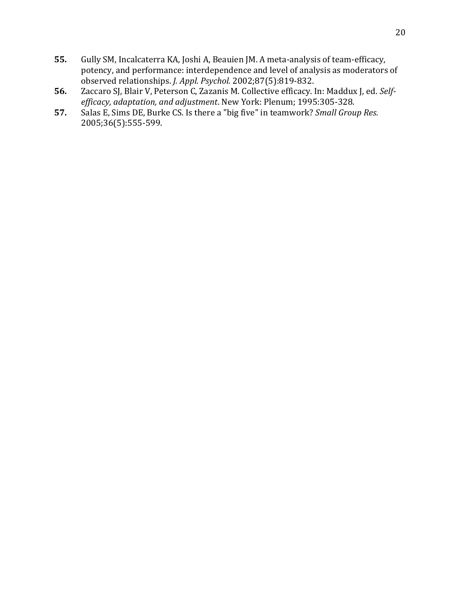- **55.** Gully SM, Incalcaterra KA, Joshi A, Beauien JM. A meta-analysis of team-efficacy, potency, and performance: interdependence and level of analysis as moderators of observed relationships. *J. Appl. Psychol.* 2002;87(5):819-832.
- **56.** Zaccaro SJ, Blair V, Peterson C, Zazanis M. Collective efficacy. In: Maddux J, ed. *Selfefficacy, adaptation, and adjustment*. New York: Plenum; 1995:305-328.
- **57.** Salas E, Sims DE, Burke CS. Is there a "big five" in teamwork? *Small Group Res.* 2005;36(5):555-599.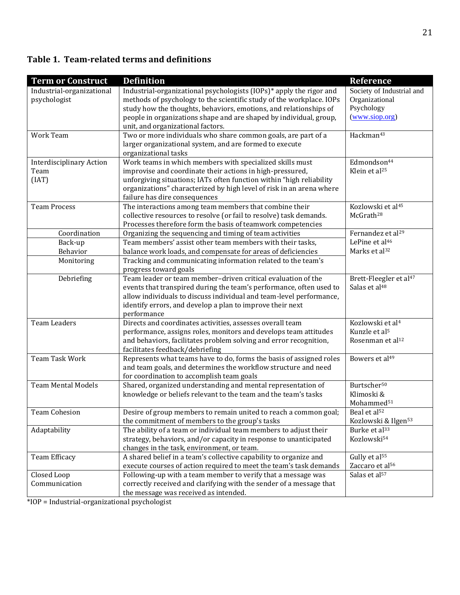# **Table 1. Team-related terms and definitions**

| <b>Term or Construct</b>                         | <b>Definition</b>                                                                                                                                                                                                                                                                                                           | <b>Reference</b>                                                                          |
|--------------------------------------------------|-----------------------------------------------------------------------------------------------------------------------------------------------------------------------------------------------------------------------------------------------------------------------------------------------------------------------------|-------------------------------------------------------------------------------------------|
| Industrial-organizational<br>psychologist        | Industrial-organizational psychologists (IOPs)* apply the rigor and<br>methods of psychology to the scientific study of the workplace. IOPs<br>study how the thoughts, behaviors, emotions, and relationships of<br>people in organizations shape and are shaped by individual, group,<br>unit, and organizational factors. | Society of Industrial and<br>Organizational<br>Psychology<br>(www.siop.org)               |
| <b>Work Team</b>                                 | Two or more individuals who share common goals, are part of a<br>larger organizational system, and are formed to execute<br>organizational tasks                                                                                                                                                                            | Hackman <sup>43</sup>                                                                     |
| <b>Interdisciplinary Action</b><br>Team<br>(IAT) | Work teams in which members with specialized skills must<br>improvise and coordinate their actions in high-pressured,<br>unforgiving situations; IATs often function within "high reliability<br>organizations" characterized by high level of risk in an arena where<br>failure has dire consequences                      | Edmondson <sup>44</sup><br>Klein et al <sup>25</sup>                                      |
| <b>Team Process</b>                              | The interactions among team members that combine their<br>collective resources to resolve (or fail to resolve) task demands.<br>Processes therefore form the basis of teamwork competencies                                                                                                                                 | Kozlowski et al <sup>45</sup><br>McGrath <sup>28</sup>                                    |
| Coordination                                     | Organizing the sequencing and timing of team activities                                                                                                                                                                                                                                                                     | Fernandez et al <sup>29</sup>                                                             |
| Back-up<br>Behavior                              | Team members' assist other team members with their tasks,<br>balance work loads, and compensate for areas of deficiencies                                                                                                                                                                                                   | LePine et al <sup>46</sup><br>Marks et al <sup>32</sup>                                   |
| Monitoring                                       | Tracking and communicating information related to the team's<br>progress toward goals                                                                                                                                                                                                                                       |                                                                                           |
| Debriefing                                       | Team leader or team member-driven critical evaluation of the<br>events that transpired during the team's performance, often used to<br>allow individuals to discuss individual and team-level performance,<br>identify errors, and develop a plan to improve their next<br>performance                                      | Brett-Fleegler et al <sup>47</sup><br>Salas et al <sup>48</sup>                           |
| <b>Team Leaders</b>                              | Directs and coordinates activities, assesses overall team<br>performance, assigns roles, monitors and develops team attitudes<br>and behaviors, facilitates problem solving and error recognition,<br>facilitates feedback/debriefing                                                                                       | Kozlowski et al <sup>4</sup><br>Kunzle et al <sup>5</sup><br>Rosenman et al <sup>12</sup> |
| Team Task Work                                   | Represents what teams have to do, forms the basis of assigned roles<br>and team goals, and determines the workflow structure and need<br>for coordination to accomplish team goals                                                                                                                                          | Bowers et al <sup>49</sup>                                                                |
| <b>Team Mental Models</b>                        | Shared, organized understanding and mental representation of<br>knowledge or beliefs relevant to the team and the team's tasks                                                                                                                                                                                              | Burtscher <sup>50</sup><br>Klimoski &<br>Mohammed <sup>51</sup>                           |
| <b>Team Cohesion</b>                             | Desire of group members to remain united to reach a common goal;<br>the commitment of members to the group's tasks                                                                                                                                                                                                          | Beal et al <sup>52</sup><br>Kozlowski & Ilgen <sup>53</sup>                               |
| Adaptability                                     | The ability of a team or individual team members to adjust their<br>strategy, behaviors, and/or capacity in response to unanticipated<br>changes in the task, environment, or team.                                                                                                                                         | Burke et al <sup>33</sup><br>Kozlowski54                                                  |
| Team Efficacy                                    | A shared belief in a team's collective capability to organize and<br>execute courses of action required to meet the team's task demands                                                                                                                                                                                     | Gully et al <sup>55</sup><br>Zaccaro et al <sup>56</sup>                                  |
| Closed Loop<br>Communication                     | Following-up with a team member to verify that a message was<br>correctly received and clarifying with the sender of a message that<br>the message was received as intended.                                                                                                                                                | Salas et al <sup>57</sup>                                                                 |

\*IOP = Industrial-organizational psychologist